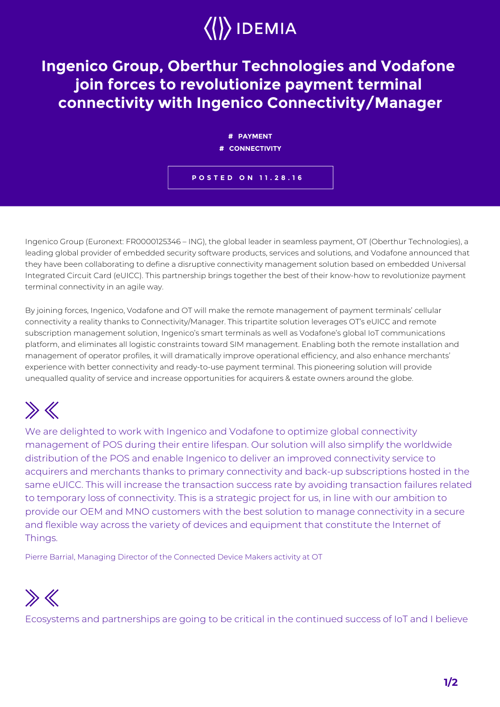## $\langle\langle\rangle\rangle$  IDEMIA

## **Ingenico Group, Oberthur Technologies and Vodafone join forces to revolutionize payment terminal connectivity with Ingenico Connectivity/Manager**

**# PAYMENT # CONNECTIVITY**

**POSTED ON 11.28.16**

Ingenico Group (Euronext: FR0000125346 – ING), the global leader in seamless payment, OT (Oberthur Technologies), a leading global provider of embedded security software products, services and solutions, and Vodafone announced that they have been collaborating to define a disruptive connectivity management solution based on embedded Universal Integrated Circuit Card (eUICC). This partnership brings together the best of their know-how to revolutionize payment terminal connectivity in an agile way.

By joining forces, Ingenico, Vodafone and OT will make the remote management of payment terminals' cellular connectivity a reality thanks to Connectivity/Manager. This tripartite solution leverages OT's eUICC and remote subscription management solution, Ingenico's smart terminals as well as Vodafone's global IoT communications platform, and eliminates all logistic constraints toward SIM management. Enabling both the remote installation and management of operator profiles, it will dramatically improve operational efficiency, and also enhance merchants' experience with better connectivity and ready-to-use payment terminal. This pioneering solution will provide unequalled quality of service and increase opportunities for acquirers & estate owners around the globe.

## $\gg K$

We are delighted to work with Ingenico and Vodafone to optimize global connectivity management of POS during their entire lifespan. Our solution will also simplify the worldwide distribution of the POS and enable Ingenico to deliver an improved connectivity service to acquirers and merchants thanks to primary connectivity and back-up subscriptions hosted in the same eUICC. This will increase the transaction success rate by avoiding transaction failures related to temporary loss of connectivity. This is a strategic project for us, in line with our ambition to provide our OEM and MNO customers with the best solution to manage connectivity in a secure and flexible way across the variety of devices and equipment that constitute the Internet of Things.

Pierre Barrial, Managing Director of the Connected Device Makers activity at OT



Ecosystems and partnerships are going to be critical in the continued success of IoT and I believe